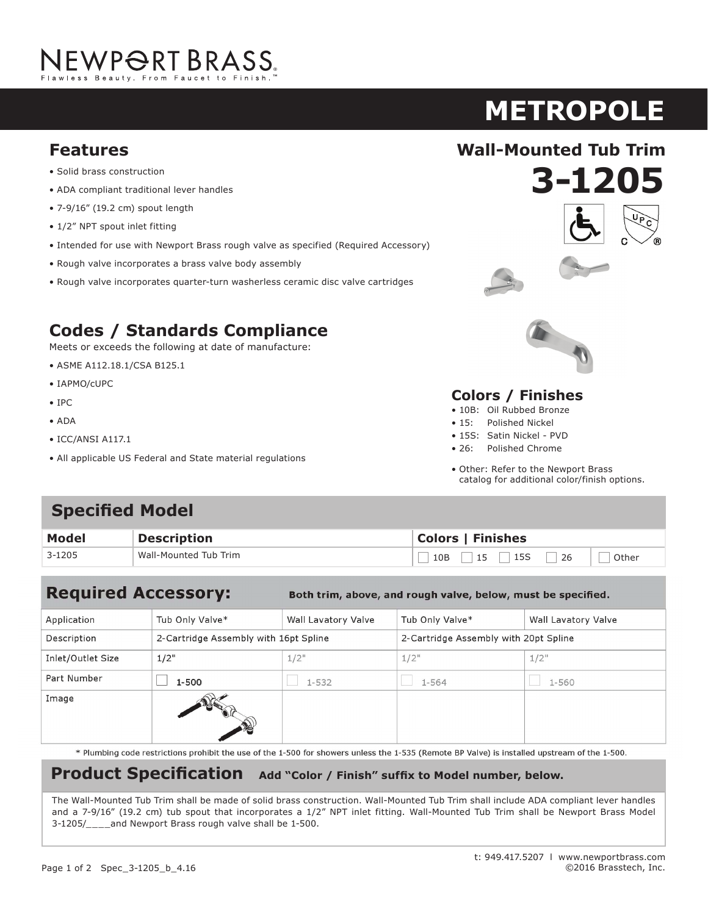# NEWPORT BRASS.

## **METROPOLE**

#### **Features Wall-Mounted Tub Trim**

- Solid brass construction
- ADA compliant traditional lever handles
- 7-9/16" (19.2 cm) spout length
- 1/2" NPT spout inlet fitting
- Intended for use with Newport Brass rough valve as specified (Required Accessory)
- Rough valve incorporates a brass valve body assembly
- Rough valve incorporates quarter-turn washerless ceramic disc valve cartridges

### **Codes / Standards Compliance**

Meets or exceeds the following at date of manufacture:

- ASME A112.18.1/CSA B125.1
- IAPMO/cUPC
- IPC
- ADA
- ICC/ANSI A117.1
- All applicable US Federal and State material regulations







#### **Colors / Finishes**

- 10B: Oil Rubbed Bronze
- 15: Polished Nickel
- 15S: Satin Nickel PVD
- 26: Polished Chrome
- Other: Refer to the Newport Brass catalog for additional color/finish options.

#### **Specified Model**

| <b>Model</b> | <b>Description</b>    | <b>Colors   Finishes</b> |  |  |
|--------------|-----------------------|--------------------------|--|--|
| 3-1205       | Wall-Mounted Tub Trim | Other                    |  |  |

#### **Required Accessory:**

Both trim, above, and rough valve, below, must be specified.

| Application       | Tub Only Valve*                       | Wall Lavatory Valve | Tub Only Valve*                       | Wall Lavatory Valve |
|-------------------|---------------------------------------|---------------------|---------------------------------------|---------------------|
| Description       | 2-Cartridge Assembly with 16pt Spline |                     | 2-Cartridge Assembly with 20pt Spline |                     |
| Inlet/Outlet Size | 1/2"                                  | $1/2$ "             | $1/2$ "                               | $1/2$ "             |
| Part Number       | $1 - 500$                             | $1 - 532$           | 1-564                                 | 1-560               |
| Image             |                                       |                     |                                       |                     |

\* Plumbing code restrictions prohibit the use of the 1-500 for showers unless the 1-535 (Remote BP Valve) is installed upstream of the 1-500.

#### **Product Specification** Add "Color / Finish" suffix to Model number, below.

The Wall-Mounted Tub Trim shall be made of solid brass construction. Wall-Mounted Tub Trim shall include ADA compliant lever handles and a 7-9/16" (19.2 cm) tub spout that incorporates a 1/2" NPT inlet fitting. Wall-Mounted Tub Trim shall be Newport Brass Model 3-1205/\_\_\_\_and Newport Brass rough valve shall be 1-500.